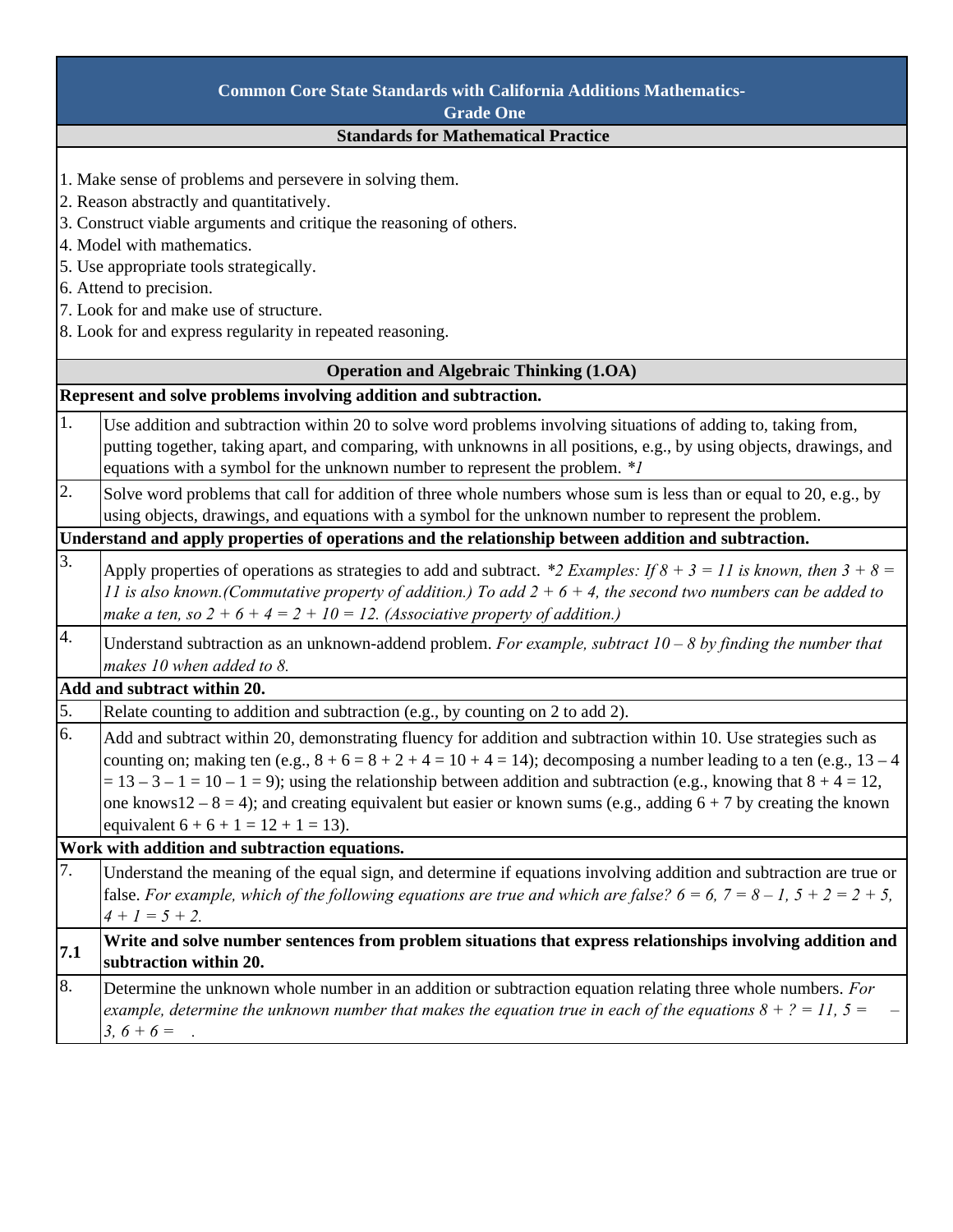| <b>Common Core State Standards with California Additions Mathematics-</b> |                                                                                                                              |  |
|---------------------------------------------------------------------------|------------------------------------------------------------------------------------------------------------------------------|--|
| <b>Grade One</b><br><b>Standards for Mathematical Practice</b>            |                                                                                                                              |  |
|                                                                           |                                                                                                                              |  |
|                                                                           | 1. Make sense of problems and persevere in solving them.                                                                     |  |
| 2. Reason abstractly and quantitatively.                                  |                                                                                                                              |  |
|                                                                           | 3. Construct viable arguments and critique the reasoning of others.                                                          |  |
|                                                                           | 4. Model with mathematics.                                                                                                   |  |
| 5. Use appropriate tools strategically.                                   |                                                                                                                              |  |
| 6. Attend to precision.<br>7. Look for and make use of structure.         |                                                                                                                              |  |
|                                                                           | 8. Look for and express regularity in repeated reasoning.                                                                    |  |
|                                                                           |                                                                                                                              |  |
|                                                                           | <b>Operation and Algebraic Thinking (1.OA)</b>                                                                               |  |
| Represent and solve problems involving addition and subtraction.          |                                                                                                                              |  |
| 1.                                                                        | Use addition and subtraction within 20 to solve word problems involving situations of adding to, taking from,                |  |
|                                                                           | putting together, taking apart, and comparing, with unknowns in all positions, e.g., by using objects, drawings, and         |  |
|                                                                           | equations with a symbol for the unknown number to represent the problem. * <i>I</i>                                          |  |
| 2.                                                                        | Solve word problems that call for addition of three whole numbers whose sum is less than or equal to 20, e.g., by            |  |
|                                                                           | using objects, drawings, and equations with a symbol for the unknown number to represent the problem.                        |  |
|                                                                           | Understand and apply properties of operations and the relationship between addition and subtraction.                         |  |
| $\overline{3}$ .                                                          | Apply properties of operations as strategies to add and subtract. *2 Examples: If $8 + 3 = 11$ is known, then $3 + 8 = 11$   |  |
|                                                                           | 11 is also known.(Commutative property of addition.) To add $2 + 6 + 4$ , the second two numbers can be added to             |  |
|                                                                           | make a ten, so $2 + 6 + 4 = 2 + 10 = 12$ . (Associative property of addition.)                                               |  |
| 4.                                                                        | Understand subtraction as an unknown-addend problem. For example, subtract $10 - 8$ by finding the number that               |  |
|                                                                           | makes 10 when added to 8.                                                                                                    |  |
|                                                                           | Add and subtract within 20.                                                                                                  |  |
| 5.                                                                        | Relate counting to addition and subtraction (e.g., by counting on 2 to add 2).                                               |  |
| 6.                                                                        | Add and subtract within 20, demonstrating fluency for addition and subtraction within 10. Use strategies such as             |  |
|                                                                           | counting on; making ten (e.g., $8 + 6 = 8 + 2 + 4 = 10 + 4 = 14$ ); decomposing a number leading to a ten (e.g., 13 – 4      |  |
|                                                                           | $= 13 - 3 - 1 = 10 - 1 = 9$ ; using the relationship between addition and subtraction (e.g., knowing that $8 + 4 = 12$ ,     |  |
|                                                                           | one knows $12 - 8 = 4$ ); and creating equivalent but easier or known sums (e.g., adding $6 + 7$ by creating the known       |  |
|                                                                           | equivalent $6 + 6 + 1 = 12 + 1 = 13$ .                                                                                       |  |
|                                                                           | Work with addition and subtraction equations.                                                                                |  |
| 7.                                                                        | Understand the meaning of the equal sign, and determine if equations involving addition and subtraction are true or          |  |
|                                                                           | false. For example, which of the following equations are true and which are false? $6 = 6$ , $7 = 8 - 1$ , $5 + 2 = 2 + 5$ , |  |
|                                                                           | $4 + 1 = 5 + 2$ .                                                                                                            |  |
| 7.1                                                                       | Write and solve number sentences from problem situations that express relationships involving addition and                   |  |
|                                                                           | subtraction within 20.                                                                                                       |  |
| 8.                                                                        | Determine the unknown whole number in an addition or subtraction equation relating three whole numbers. For                  |  |
|                                                                           | example, determine the unknown number that makes the equation true in each of the equations $8 + ? = 11$ , $5 = 11$          |  |
|                                                                           | $3, 6 + 6 =$ .                                                                                                               |  |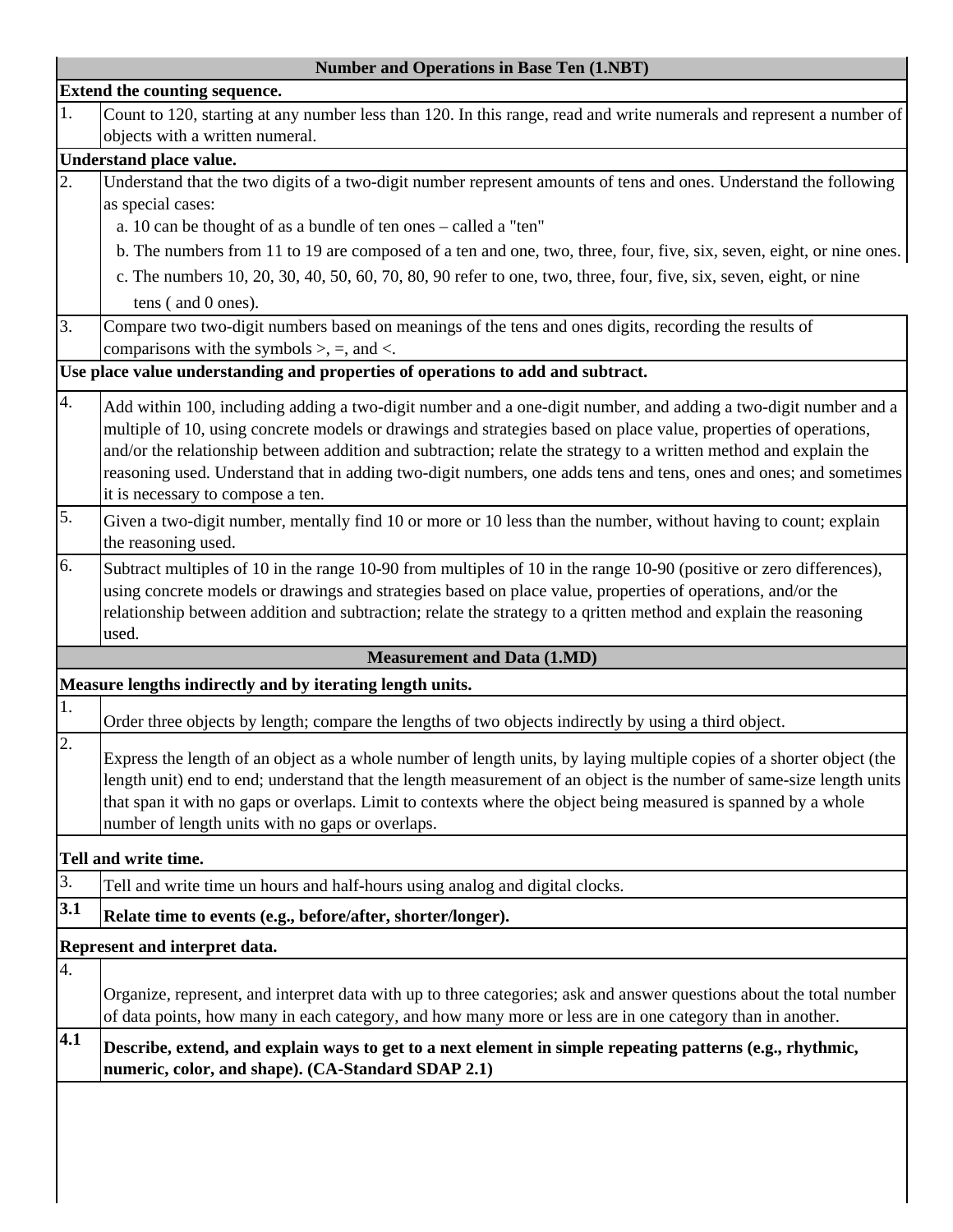| <b>Number and Operations in Base Ten (1.NBT)</b>                                |                                                                                                                       |  |  |
|---------------------------------------------------------------------------------|-----------------------------------------------------------------------------------------------------------------------|--|--|
| Extend the counting sequence.                                                   |                                                                                                                       |  |  |
| 1.                                                                              | Count to 120, starting at any number less than 120. In this range, read and write numerals and represent a number of  |  |  |
|                                                                                 | objects with a written numeral.                                                                                       |  |  |
| Understand place value.                                                         |                                                                                                                       |  |  |
| $\overline{2}$ .                                                                | Understand that the two digits of a two-digit number represent amounts of tens and ones. Understand the following     |  |  |
|                                                                                 | as special cases:                                                                                                     |  |  |
|                                                                                 | a. 10 can be thought of as a bundle of ten ones - called a "ten"                                                      |  |  |
|                                                                                 | b. The numbers from 11 to 19 are composed of a ten and one, two, three, four, five, six, seven, eight, or nine ones.  |  |  |
|                                                                                 | c. The numbers 10, 20, 30, 40, 50, 60, 70, 80, 90 refer to one, two, three, four, five, six, seven, eight, or nine    |  |  |
|                                                                                 | tens (and 0 ones).                                                                                                    |  |  |
| 3.                                                                              | Compare two two-digit numbers based on meanings of the tens and ones digits, recording the results of                 |  |  |
|                                                                                 | comparisons with the symbols $\ge$ , =, and <.                                                                        |  |  |
| Use place value understanding and properties of operations to add and subtract. |                                                                                                                       |  |  |
| 4.                                                                              | Add within 100, including adding a two-digit number and a one-digit number, and adding a two-digit number and a       |  |  |
|                                                                                 | multiple of 10, using concrete models or drawings and strategies based on place value, properties of operations,      |  |  |
|                                                                                 | and/or the relationship between addition and subtraction; relate the strategy to a written method and explain the     |  |  |
|                                                                                 | reasoning used. Understand that in adding two-digit numbers, one adds tens and tens, ones and ones; and sometimes     |  |  |
|                                                                                 | it is necessary to compose a ten.                                                                                     |  |  |
| 5.                                                                              | Given a two-digit number, mentally find 10 or more or 10 less than the number, without having to count; explain       |  |  |
|                                                                                 | the reasoning used.                                                                                                   |  |  |
| 6.                                                                              | Subtract multiples of 10 in the range 10-90 from multiples of 10 in the range 10-90 (positive or zero differences),   |  |  |
|                                                                                 | using concrete models or drawings and strategies based on place value, properties of operations, and/or the           |  |  |
|                                                                                 | relationship between addition and subtraction; relate the strategy to a qritten method and explain the reasoning      |  |  |
|                                                                                 | used.                                                                                                                 |  |  |
|                                                                                 | <b>Measurement and Data (1.MD)</b>                                                                                    |  |  |
| Measure lengths indirectly and by iterating length units.                       |                                                                                                                       |  |  |
| 1.                                                                              |                                                                                                                       |  |  |
|                                                                                 | Order three objects by length; compare the lengths of two objects indirectly by using a third object.                 |  |  |
| 2.                                                                              | Express the length of an object as a whole number of length units, by laying multiple copies of a shorter object (the |  |  |
|                                                                                 | length unit) end to end; understand that the length measurement of an object is the number of same-size length units  |  |  |
|                                                                                 | that span it with no gaps or overlaps. Limit to contexts where the object being measured is spanned by a whole        |  |  |
|                                                                                 | number of length units with no gaps or overlaps.                                                                      |  |  |
|                                                                                 | Tell and write time.                                                                                                  |  |  |
| 3.                                                                              | Tell and write time un hours and half-hours using analog and digital clocks.                                          |  |  |
| 3.1                                                                             |                                                                                                                       |  |  |
|                                                                                 | Relate time to events (e.g., before/after, shorter/longer).                                                           |  |  |
|                                                                                 | Represent and interpret data.                                                                                         |  |  |
| 4.                                                                              |                                                                                                                       |  |  |
|                                                                                 | Organize, represent, and interpret data with up to three categories; ask and answer questions about the total number  |  |  |
|                                                                                 | of data points, how many in each category, and how many more or less are in one category than in another.             |  |  |
| 4.1                                                                             | Describe, extend, and explain ways to get to a next element in simple repeating patterns (e.g., rhythmic,             |  |  |
|                                                                                 | numeric, color, and shape). (CA-Standard SDAP 2.1)                                                                    |  |  |
|                                                                                 |                                                                                                                       |  |  |
|                                                                                 |                                                                                                                       |  |  |
|                                                                                 |                                                                                                                       |  |  |